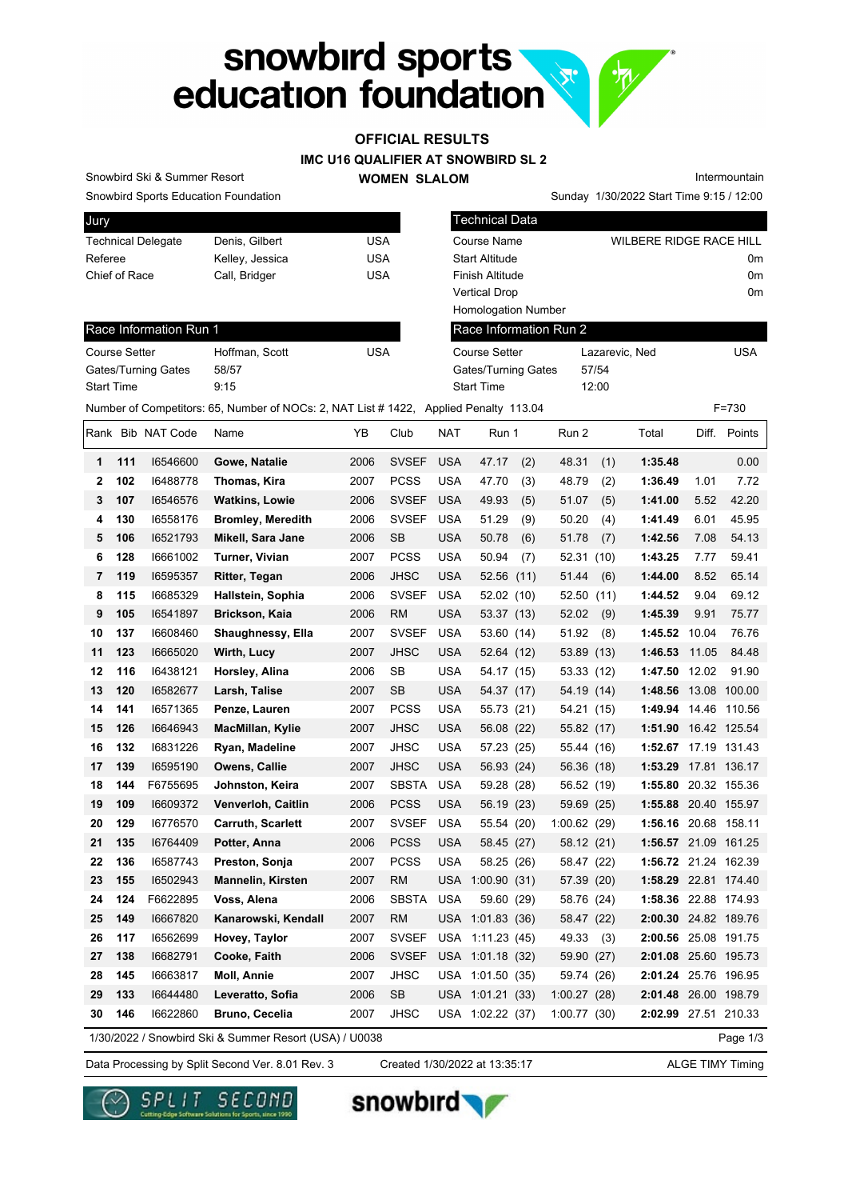# snowbird sports<br>education foundation H.

# **OFFICIAL RESULTS**

**IMC U16 QUALIFIER AT SNOWBIRD SL 2**

#### **WOMEN SLALOM**

Snowbird Sports Education Foundation Snowbird Ski & Summer Resort

Sunday 1/30/2022 Start Time 9:15 / 12:00 Intermountain

| Jury    |                   |                        |                                                                                       |            |              |            | <b>Technical Data</b>      |     |                        |       |                                |       |              |
|---------|-------------------|------------------------|---------------------------------------------------------------------------------------|------------|--------------|------------|----------------------------|-----|------------------------|-------|--------------------------------|-------|--------------|
|         |                   | Technical Delegate     | Denis, Gilbert                                                                        | <b>USA</b> |              |            | Course Name                |     |                        |       | <b>WILBERE RIDGE RACE HILL</b> |       |              |
| Referee |                   |                        | Kelley, Jessica                                                                       | <b>USA</b> |              |            | <b>Start Altitude</b>      |     |                        |       |                                |       | 0m           |
|         | Chief of Race     |                        | Call, Bridger                                                                         | <b>USA</b> |              |            | <b>Finish Altitude</b>     |     |                        |       |                                |       | 0m           |
|         |                   |                        |                                                                                       |            |              |            | <b>Vertical Drop</b>       |     |                        |       |                                |       | 0m           |
|         |                   |                        |                                                                                       |            |              |            | <b>Homologation Number</b> |     |                        |       |                                |       |              |
|         |                   | Race Information Run 1 |                                                                                       |            |              |            |                            |     | Race Information Run 2 |       |                                |       |              |
|         | Course Setter     |                        | Hoffman, Scott                                                                        | <b>USA</b> |              |            | <b>Course Setter</b>       |     |                        |       | Lazarevic, Ned                 |       | <b>USA</b>   |
|         |                   | Gates/Turning Gates    | 58/57                                                                                 |            |              |            | Gates/Turning Gates        |     |                        | 57/54 |                                |       |              |
|         | <b>Start Time</b> |                        | 9:15                                                                                  |            |              |            | <b>Start Time</b>          |     |                        | 12:00 |                                |       |              |
|         |                   |                        | Number of Competitors: 65, Number of NOCs: 2, NAT List # 1422, Applied Penalty 113.04 |            |              |            |                            |     |                        |       |                                |       | F=730        |
|         |                   | Rank Bib NAT Code      | Name                                                                                  | ΥB         | Club         | <b>NAT</b> | Run 1                      |     | Run 2                  |       | Total                          |       | Diff. Points |
| 1       | 111               | 16546600               | Gowe, Natalie                                                                         | 2006       | <b>SVSEF</b> | <b>USA</b> | 47.17                      | (2) | 48.31                  | (1)   | 1:35.48                        |       | 0.00         |
| 2       | 102               | 16488778               | Thomas, Kira                                                                          | 2007       | <b>PCSS</b>  | <b>USA</b> | 47.70                      | (3) | 48.79                  | (2)   | 1:36.49                        | 1.01  | 7.72         |
| 3       | 107               | 16546576               | <b>Watkins, Lowie</b>                                                                 | 2006       | <b>SVSEF</b> | <b>USA</b> | 49.93                      | (5) | 51.07                  | (5)   | 1:41.00                        | 5.52  | 42.20        |
| 4       | 130               | 16558176               | <b>Bromley, Meredith</b>                                                              | 2006       | <b>SVSEF</b> | <b>USA</b> | 51.29                      | (9) | 50.20                  | (4)   | 1:41.49                        | 6.01  | 45.95        |
| 5       | 106               | 16521793               | Mikell, Sara Jane                                                                     | 2006       | SB           | <b>USA</b> | 50.78                      | (6) | 51.78                  | (7)   | 1:42.56                        | 7.08  | 54.13        |
| 6       | 128               | 16661002               | <b>Turner, Vivian</b>                                                                 | 2007       | <b>PCSS</b>  | <b>USA</b> | 50.94                      | (7) | 52.31 (10)             |       | 1:43.25                        | 7.77  | 59.41        |
| 7       | 119               | 16595357               | Ritter, Tegan                                                                         | 2006       | <b>JHSC</b>  | <b>USA</b> | 52.56 (11)                 |     | 51.44                  | (6)   | 1:44.00                        | 8.52  | 65.14        |
| 8       | 115               | 16685329               | Hallstein, Sophia                                                                     | 2006       | <b>SVSEF</b> | <b>USA</b> | 52.02 (10)                 |     | 52.50                  | (11)  | 1:44.52                        | 9.04  | 69.12        |
| 9       | 105               | 16541897               | Brickson, Kaia                                                                        | 2006       | <b>RM</b>    | <b>USA</b> | 53.37 (13)                 |     | 52.02                  | (9)   | 1:45.39                        | 9.91  | 75.77        |
| 10      | 137               | 16608460               | Shaughnessy, Ella                                                                     | 2007       | <b>SVSEF</b> | <b>USA</b> | 53.60 (14)                 |     | 51.92                  | (8)   | 1:45.52                        | 10.04 | 76.76        |
| 11      | 123               | 16665020               | Wirth, Lucy                                                                           | 2007       | <b>JHSC</b>  | USA        | 52.64 (12)                 |     | 53.89 (13)             |       | 1:46.53                        | 11.05 | 84.48        |
| 12      | 116               | 16438121               | Horsley, Alina                                                                        | 2006       | SB           | <b>USA</b> | 54.17 (15)                 |     | 53.33 (12)             |       | 1:47.50                        | 12.02 | 91.90        |
| 13      | 120               | 16582677               | Larsh, Talise                                                                         | 2007       | SB           | USA        | 54.37 (17)                 |     | 54.19 (14)             |       | 1:48.56                        |       | 13.08 100.00 |
| 14      | 141               | 16571365               | Penze, Lauren                                                                         | 2007       | <b>PCSS</b>  | <b>USA</b> | 55.73 (21)                 |     | 54.21 (15)             |       | 1:49.94 14.46 110.56           |       |              |
| 15      | 126               | 16646943               | MacMillan, Kylie                                                                      | 2007       | <b>JHSC</b>  | <b>USA</b> | 56.08 (22)                 |     | 55.82 (17)             |       | 1:51.90 16.42 125.54           |       |              |
| 16      | 132               | 16831226               | Ryan, Madeline                                                                        | 2007       | JHSC         | <b>USA</b> | 57.23 (25)                 |     | 55.44 (16)             |       | 1:52.67 17.19 131.43           |       |              |
| 17      | 139               | 16595190               | Owens, Callie                                                                         | 2007       | <b>JHSC</b>  | USA        | 56.93 (24)                 |     | 56.36 (18)             |       | 1:53.29                        |       | 17.81 136.17 |
| 18      | 144               | F6755695               | Johnston, Keira                                                                       | 2007       | <b>SBSTA</b> | <b>USA</b> | 59.28 (28)                 |     | 56.52 (19)             |       | 1:55.80 20.32 155.36           |       |              |
| 19      | 109               | 16609372               | Venverloh, Caitlin                                                                    | 2006       | <b>PCSS</b>  | <b>USA</b> | 56.19 (23)                 |     | 59.69 (25)             |       | 1:55.88 20.40 155.97           |       |              |
| 20      | 129               | 16776570               | <b>Carruth, Scarlett</b>                                                              | 2007       | <b>SVSEF</b> | <b>USA</b> | 55.54 (20)                 |     | 1:00.62(29)            |       | 1:56.16 20.68 158.11           |       |              |
| 21      | 135               | 16764409               | Potter, Anna                                                                          | 2006       | <b>PCSS</b>  | USA        | 58.45 (27)                 |     | 58.12 (21)             |       | 1:56.57 21.09 161.25           |       |              |
| 22      | 136               | 16587743               | Preston, Sonja                                                                        | 2007       | <b>PCSS</b>  | USA        | 58.25 (26)                 |     | 58.47 (22)             |       | 1:56.72 21.24 162.39           |       |              |
| 23      | 155               | 16502943               | <b>Mannelin, Kirsten</b>                                                              | 2007       | <b>RM</b>    |            | USA 1:00.90 (31)           |     | 57.39 (20)             |       | 1:58.29 22.81 174.40           |       |              |
| 24      | 124               | F6622895               | Voss, Alena                                                                           | 2006       | SBSTA        | <b>USA</b> | 59.60 (29)                 |     | 58.76 (24)             |       | 1:58.36 22.88 174.93           |       |              |
| 25      | 149               | 16667820               | Kanarowski, Kendall                                                                   | 2007       | <b>RM</b>    |            | USA 1:01.83 (36)           |     | 58.47 (22)             |       | 2:00.30 24.82 189.76           |       |              |
| 26      | 117               | 16562699               | Hovey, Taylor                                                                         | 2007       | <b>SVSEF</b> |            | USA 1:11.23 (45)           |     | 49.33                  | (3)   | 2:00.56 25.08 191.75           |       |              |
| 27      | 138               | 16682791               | Cooke, Faith                                                                          | 2006       | <b>SVSEF</b> |            | USA 1:01.18 (32)           |     | 59.90 (27)             |       | 2:01.08 25.60 195.73           |       |              |
| 28      | 145               | 16663817               | Moll, Annie                                                                           | 2007       | <b>JHSC</b>  |            | USA 1:01.50 (35)           |     | 59.74 (26)             |       | 2:01.24 25.76 196.95           |       |              |
| 29      | 133               | 16644480               | Leveratto, Sofia                                                                      | 2006       | SB           |            | USA 1:01.21 (33)           |     | 1:00.27(28)            |       | 2:01.48 26.00 198.79           |       |              |
| 30      | 146               | 16622860               | Bruno, Cecelia                                                                        | 2007       | JHSC         |            | USA 1:02.22 (37)           |     | 1:00.77(30)            |       | 2:02.99 27.51 210.33           |       |              |
|         |                   |                        | 1/30/2022 / Snowbird Ski & Summer Resort (USA) / U0038                                |            |              |            |                            |     |                        |       |                                |       | Page 1/3     |

Data Processing by Split Second Ver. 8.01 Rev. 3 Created 1/30/2022 at 13:35:17 ALGE TIMY Timing

Created 1/30/2022 at 13:35:17





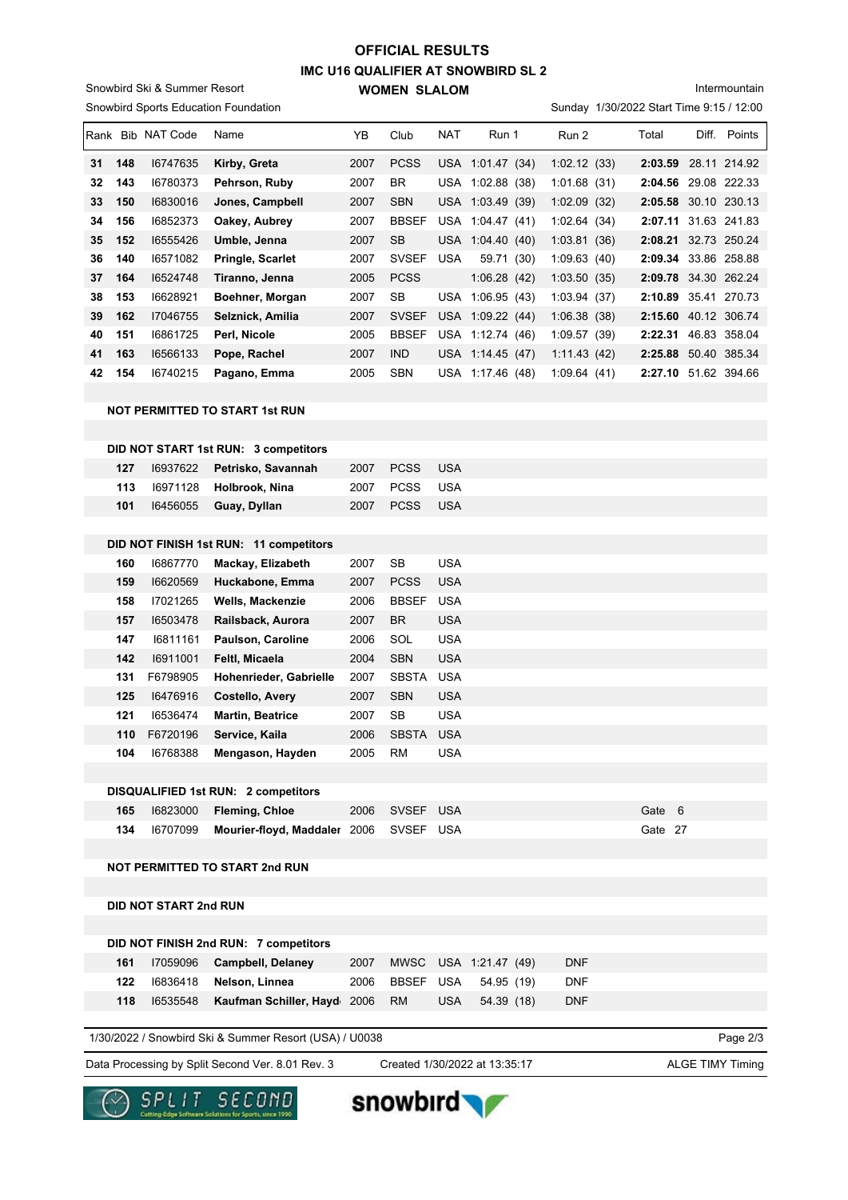### **IMC U16 QUALIFIER AT SNOWBIRD SL 2 WOMEN SLALOM OFFICIAL RESULTS**

Snowbird Sports Education Foundation Snowbird Ski & Summer Resort

Intermountain

|    |     | Rank Bib NAT Code | Name                                   | YB   | Club         | <b>NAT</b>       | Run 1            | Run 2       | Total                | Diff. | Points       |
|----|-----|-------------------|----------------------------------------|------|--------------|------------------|------------------|-------------|----------------------|-------|--------------|
| 31 | 148 | 16747635          | Kirby, Greta                           | 2007 | <b>PCSS</b>  |                  | USA 1:01.47 (34) | 1:02.12(33) | 2:03.59              |       | 28.11 214.92 |
| 32 | 143 | 16780373          | Pehrson, Ruby                          | 2007 | <b>BR</b>    |                  | USA 1:02.88 (38) | 1:01.68(31) | 2:04.56              |       | 29.08 222.33 |
| 33 | 150 | 16830016          | Jones, Campbell                        | 2007 | <b>SBN</b>   |                  | USA 1:03.49 (39) | 1:02.09(32) | 2:05.58 30.10 230.13 |       |              |
| 34 | 156 | 16852373          | Oakey, Aubrey                          | 2007 | <b>BBSEF</b> |                  | USA 1:04.47 (41) | 1:02.64(34) | 2:07.11              |       | 31.63 241.83 |
| 35 | 152 | 16555426          | Umble, Jenna                           | 2007 | <b>SB</b>    |                  | USA 1:04.40 (40) | 1:03.81(36) | 2:08.21 32.73 250.24 |       |              |
| 36 | 140 | 16571082          | Pringle, Scarlet                       | 2007 | <b>SVSEF</b> | <b>USA</b>       | 59.71 (30)       | 1:09.63(40) | 2:09.34 33.86 258.88 |       |              |
| 37 | 164 | 16524748          | Tiranno, Jenna                         | 2005 | <b>PCSS</b>  |                  | 1:06.28(42)      | 1:03.50(35) | 2:09.78 34.30 262.24 |       |              |
| 38 | 153 | 16628921          | Boehner, Morgan                        | 2007 | <b>SB</b>    |                  | USA 1:06.95 (43) | 1:03.94(37) | 2:10.89              |       | 35.41 270.73 |
| 39 | 162 | 17046755          | Selznick, Amilia                       | 2007 | <b>SVSEF</b> |                  | USA 1:09.22 (44) | 1:06.38(38) | 2:15.60 40.12 306.74 |       |              |
| 40 | 151 | 16861725          | Perl, Nicole                           | 2005 | <b>BBSEF</b> |                  | USA 1:12.74 (46) | 1:09.57(39) | 2:22.31              |       | 46.83 358.04 |
| 41 | 163 | 16566133          | Pope, Rachel                           | 2007 | <b>IND</b>   |                  | USA 1:14.45 (47) | 1:11.43(42) | 2:25.88 50.40 385.34 |       |              |
| 42 | 154 | 16740215          | Pagano, Emma                           | 2005 | <b>SBN</b>   |                  | USA 1:17.46 (48) | 1:09.64(41) | 2:27.10 51.62 394.66 |       |              |
|    |     |                   |                                        |      |              |                  |                  |             |                      |       |              |
|    |     |                   | <b>NOT PERMITTED TO START 1st RUN</b>  |      |              |                  |                  |             |                      |       |              |
|    |     |                   |                                        |      |              |                  |                  |             |                      |       |              |
|    |     |                   | DID NOT START 1st RUN: 3 competitors   |      |              |                  |                  |             |                      |       |              |
|    | 127 | 16937622          | Petrisko, Savannah                     | 2007 | <b>PCSS</b>  | <b>USA</b>       |                  |             |                      |       |              |
|    | 113 | 16971128          | Holbrook, Nina                         | 2007 | <b>PCSS</b>  | <b>USA</b>       |                  |             |                      |       |              |
|    | 101 | 16456055          | Guay, Dyllan                           | 2007 | <b>PCSS</b>  | <b>USA</b>       |                  |             |                      |       |              |
|    |     |                   |                                        |      |              |                  |                  |             |                      |       |              |
|    |     |                   | DID NOT FINISH 1st RUN: 11 competitors |      |              |                  |                  |             |                      |       |              |
|    | 160 | 16867770          | Mackay, Elizabeth                      | 2007 | <b>SB</b>    | <b>USA</b>       |                  |             |                      |       |              |
|    | 150 | 16620560          | Huckahone Emma                         | 2007 | <b>DUCC</b>  | 11C <sub>A</sub> |                  |             |                      |       |              |

| 159   | 16620569 | Huckabone, Emma                            | 2007        | <b>PCSS</b>  | <b>USA</b> |           |  |
|-------|----------|--------------------------------------------|-------------|--------------|------------|-----------|--|
| 158   | 17021265 | <b>Wells, Mackenzie</b>                    | 2006        | <b>BBSEF</b> | <b>USA</b> |           |  |
| 157   | 16503478 | Railsback, Aurora                          | 2007        | <b>BR</b>    | <b>USA</b> |           |  |
| 147   | 16811161 | Paulson, Caroline                          | 2006        | SOL          | <b>USA</b> |           |  |
| 142   | 16911001 | Felti, Micaela                             | 2004        | <b>SBN</b>   | <b>USA</b> |           |  |
| 131   | F6798905 | <b>Hohenrieder, Gabrielle</b>              | 2007        | <b>SBSTA</b> | <b>USA</b> |           |  |
| 125   | 16476916 | <b>Costello, Avery</b>                     | 2007        | <b>SBN</b>   | <b>USA</b> |           |  |
| 121   | 16536474 | <b>Martin, Beatrice</b>                    | 2007        | <b>SB</b>    | <b>USA</b> |           |  |
| 110   | F6720196 | Service, Kaila                             | 2006        | SBSTA        | <b>USA</b> |           |  |
| 104   | 16768388 | Mengason, Hayden                           | 2005        | <b>RM</b>    | <b>USA</b> |           |  |
|       |          |                                            |             |              |            |           |  |
|       |          | <b>DISQUALIFIED 1st RUN: 2 competitors</b> |             |              |            |           |  |
| 4 C E | 10002000 | Elamina Oblas                              | <b>OOOC</b> | C            | 110A       | $C0 + C0$ |  |

| 165 | $16823000$ Fleming, Chloe                           | 2006 SVSEF USA | Gate 6  |  |
|-----|-----------------------------------------------------|----------------|---------|--|
|     | 134 I6707099 Mourier-floyd, Maddaler 2006 SVSEF USA |                | Gate 27 |  |

**NOT PERMITTED TO START 2nd RUN**

**DID NOT START 2nd RUN**

|     | DID NOT FINISH 2nd RUN: 7 competitors   |      |     |                           |            |
|-----|-----------------------------------------|------|-----|---------------------------|------------|
| 161 | 17059096 Campbell, Delaney              | 2007 |     | MWSC USA 1:21.47 (49)     | <b>DNF</b> |
| 122 | 16836418 Nelson, Linnea                 |      |     | 2006 BBSEF USA 54.95 (19) | <b>DNF</b> |
| 118 | 16535548 Kaufman Schiller, Hayd 2006 RM |      | USA | 54.39 (18)                | <b>DNF</b> |
|     |                                         |      |     |                           |            |

1/30/2022 / Snowbird Ski & Summer Resort (USA) / U0038

Data Processing by Split Second Ver. 8.01 Rev. 3 Created 1/30/2022 at 13:35:17 ALGE TIMY Timing

Created 1/30/2022 at 13:35:17

Page 2/3